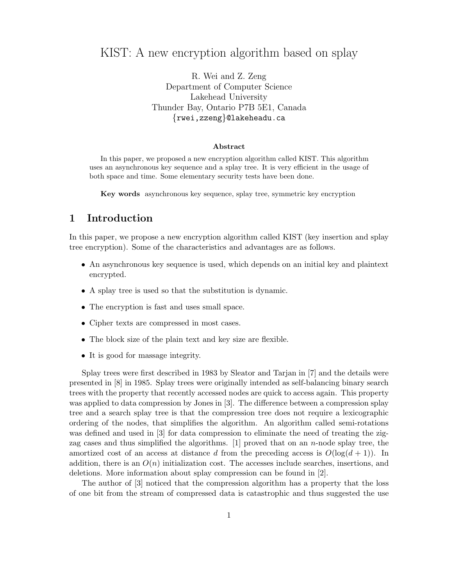# KIST: A new encryption algorithm based on splay

R. Wei and Z. Zeng Department of Computer Science Lakehead University Thunder Bay, Ontario P7B 5E1, Canada {rwei,zzeng}@lakeheadu.ca

#### Abstract

In this paper, we proposed a new encryption algorithm called KIST. This algorithm uses an asynchronous key sequence and a splay tree. It is very efficient in the usage of both space and time. Some elementary security tests have been done.

Key words asynchronous key sequence, splay tree, symmetric key encryption

# 1 Introduction

In this paper, we propose a new encryption algorithm called KIST (key insertion and splay tree encryption). Some of the characteristics and advantages are as follows.

- An asynchronous key sequence is used, which depends on an initial key and plaintext encrypted.
- A splay tree is used so that the substitution is dynamic.
- The encryption is fast and uses small space.
- Cipher texts are compressed in most cases.
- The block size of the plain text and key size are flexible.
- It is good for massage integrity.

Splay trees were first described in 1983 by Sleator and Tarjan in [7] and the details were presented in [8] in 1985. Splay trees were originally intended as self-balancing binary search trees with the property that recently accessed nodes are quick to access again. This property was applied to data compression by Jones in [3]. The difference between a compression splay tree and a search splay tree is that the compression tree does not require a lexicographic ordering of the nodes, that simplifies the algorithm. An algorithm called semi-rotations was defined and used in [3] for data compression to eliminate the need of treating the zigzag cases and thus simplified the algorithms.  $[1]$  proved that on an n-node splay tree, the amortized cost of an access at distance d from the preceding access is  $O(\log(d+1))$ . In addition, there is an  $O(n)$  initialization cost. The accesses include searches, insertions, and deletions. More information about splay compression can be found in [2].

The author of [3] noticed that the compression algorithm has a property that the loss of one bit from the stream of compressed data is catastrophic and thus suggested the use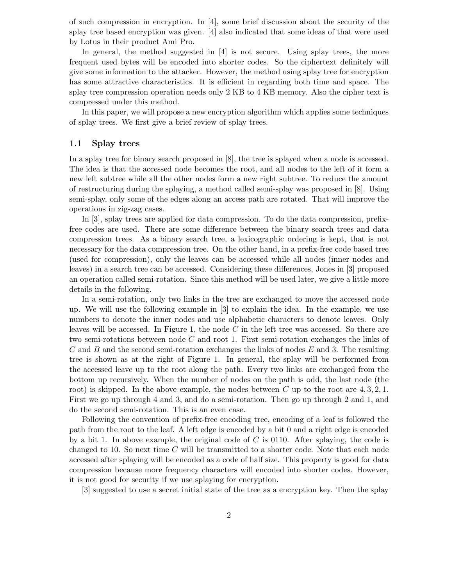of such compression in encryption. In [4], some brief discussion about the security of the splay tree based encryption was given. [4] also indicated that some ideas of that were used by Lotus in their product Ami Pro.

In general, the method suggested in [4] is not secure. Using splay trees, the more frequent used bytes will be encoded into shorter codes. So the ciphertext definitely will give some information to the attacker. However, the method using splay tree for encryption has some attractive characteristics. It is efficient in regarding both time and space. The splay tree compression operation needs only 2 KB to 4 KB memory. Also the cipher text is compressed under this method.

In this paper, we will propose a new encryption algorithm which applies some techniques of splay trees. We first give a brief review of splay trees.

#### 1.1 Splay trees

In a splay tree for binary search proposed in [8], the tree is splayed when a node is accessed. The idea is that the accessed node becomes the root, and all nodes to the left of it form a new left subtree while all the other nodes form a new right subtree. To reduce the amount of restructuring during the splaying, a method called semi-splay was proposed in [8]. Using semi-splay, only some of the edges along an access path are rotated. That will improve the operations in zig-zag cases.

In [3], splay trees are applied for data compression. To do the data compression, prefixfree codes are used. There are some difference between the binary search trees and data compression trees. As a binary search tree, a lexicographic ordering is kept, that is not necessary for the data compression tree. On the other hand, in a prefix-free code based tree (used for compression), only the leaves can be accessed while all nodes (inner nodes and leaves) in a search tree can be accessed. Considering these differences, Jones in [3] proposed an operation called semi-rotation. Since this method will be used later, we give a little more details in the following.

In a semi-rotation, only two links in the tree are exchanged to move the accessed node up. We will use the following example in [3] to explain the idea. In the example, we use numbers to denote the inner nodes and use alphabetic characters to denote leaves. Only leaves will be accessed. In Figure 1, the node  $C$  in the left tree was accessed. So there are two semi-rotations between node C and root 1. First semi-rotation exchanges the links of C and B and the second semi-rotation exchanges the links of nodes  $E$  and 3. The resulting tree is shown as at the right of Figure 1. In general, the splay will be performed from the accessed leave up to the root along the path. Every two links are exchanged from the bottom up recursively. When the number of nodes on the path is odd, the last node (the root) is skipped. In the above example, the nodes between C up to the root are  $4, 3, 2, 1$ . First we go up through 4 and 3, and do a semi-rotation. Then go up through 2 and 1, and do the second semi-rotation. This is an even case.

Following the convention of prefix-free encoding tree, encoding of a leaf is followed the path from the root to the leaf. A left edge is encoded by a bit 0 and a right edge is encoded by a bit 1. In above example, the original code of  $C$  is 0110. After splaying, the code is changed to 10. So next time  $C$  will be transmitted to a shorter code. Note that each node accessed after splaying will be encoded as a code of half size. This property is good for data compression because more frequency characters will encoded into shorter codes. However, it is not good for security if we use splaying for encryption.

[3] suggested to use a secret initial state of the tree as a encryption key. Then the splay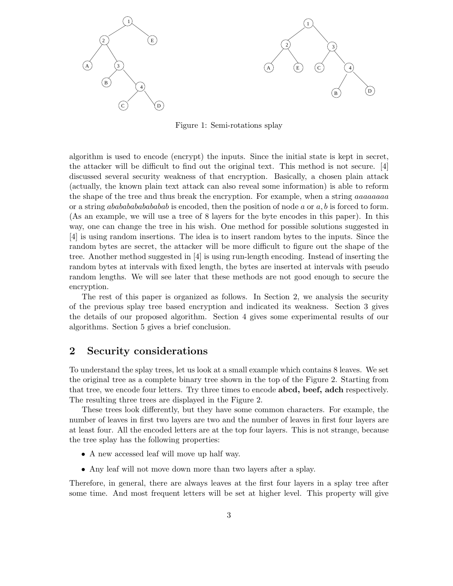

Figure 1: Semi-rotations splay

algorithm is used to encode (encrypt) the inputs. Since the initial state is kept in secret, the attacker will be difficult to find out the original text. This method is not secure. [4] discussed several security weakness of that encryption. Basically, a chosen plain attack (actually, the known plain text attack can also reveal some information) is able to reform the shape of the tree and thus break the encryption. For example, when a string *aaaaaaa* or a string *ababababababab* is encoded, then the position of node  $a$  or  $a, b$  is forced to form. (As an example, we will use a tree of 8 layers for the byte encodes in this paper). In this way, one can change the tree in his wish. One method for possible solutions suggested in [4] is using random insertions. The idea is to insert random bytes to the inputs. Since the random bytes are secret, the attacker will be more difficult to figure out the shape of the tree. Another method suggested in [4] is using run-length encoding. Instead of inserting the random bytes at intervals with fixed length, the bytes are inserted at intervals with pseudo random lengths. We will see later that these methods are not good enough to secure the encryption.

The rest of this paper is organized as follows. In Section 2, we analysis the security of the previous splay tree based encryption and indicated its weakness. Section 3 gives the details of our proposed algorithm. Section 4 gives some experimental results of our algorithms. Section 5 gives a brief conclusion.

# 2 Security considerations

To understand the splay trees, let us look at a small example which contains 8 leaves. We set the original tree as a complete binary tree shown in the top of the Figure 2. Starting from that tree, we encode four letters. Try three times to encode **abcd**, beef, adch respectively. The resulting three trees are displayed in the Figure 2.

These trees look differently, but they have some common characters. For example, the number of leaves in first two layers are two and the number of leaves in first four layers are at least four. All the encoded letters are at the top four layers. This is not strange, because the tree splay has the following properties:

- A new accessed leaf will move up half way.
- Any leaf will not move down more than two layers after a splay.

Therefore, in general, there are always leaves at the first four layers in a splay tree after some time. And most frequent letters will be set at higher level. This property will give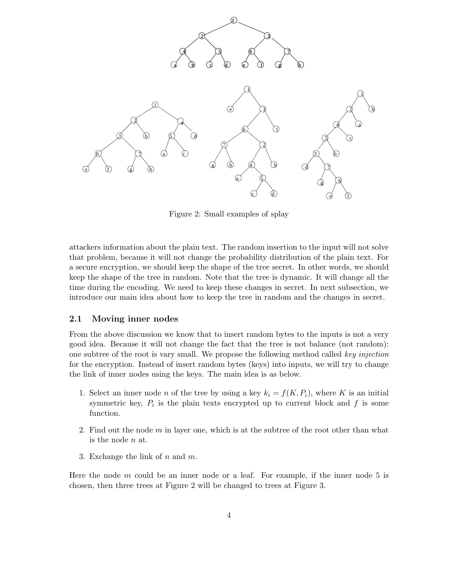

Figure 2: Small examples of splay

attackers information about the plain text. The random insertion to the input will not solve that problem, because it will not change the probability distribution of the plain text. For a secure encryption, we should keep the shape of the tree secret. In other words, we should keep the shape of the tree in random. Note that the tree is dynamic. It will change all the time during the encoding. We need to keep these changes in secret. In next subsection, we introduce our main idea about how to keep the tree in random and the changes in secret.

#### 2.1 Moving inner nodes

From the above discussion we know that to insert random bytes to the inputs is not a very good idea. Because it will not change the fact that the tree is not balance (not random): one subtree of the root is vary small. We propose the following method called key injection for the encryption. Instead of insert random bytes (keys) into inputs, we will try to change the link of inner nodes using the keys. The main idea is as below.

- 1. Select an inner node n of the tree by using a key  $k_i = f(K, P_i)$ , where K is an initial symmetric key,  $P_i$  is the plain texts encrypted up to current block and  $f$  is some function.
- 2. Find out the node  $m$  in layer one, which is at the subtree of the root other than what is the node n at.
- 3. Exchange the link of  $n$  and  $m$ .

Here the node  $m$  could be an inner node or a leaf. For example, if the inner node 5 is chosen, then three trees at Figure 2 will be changed to trees at Figure 3.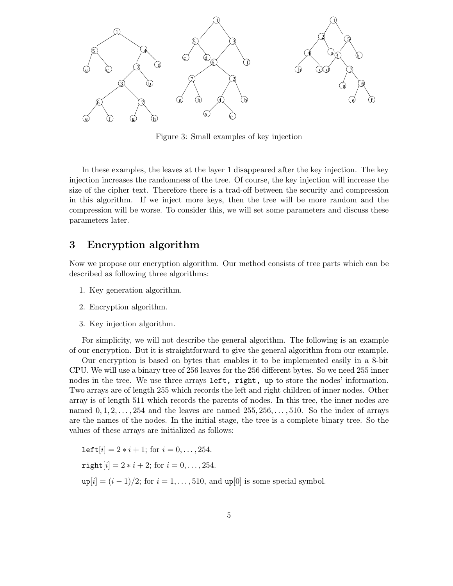

Figure 3: Small examples of key injection

In these examples, the leaves at the layer 1 disappeared after the key injection. The key injection increases the randomness of the tree. Of course, the key injection will increase the size of the cipher text. Therefore there is a trad-off between the security and compression in this algorithm. If we inject more keys, then the tree will be more random and the compression will be worse. To consider this, we will set some parameters and discuss these parameters later.

## 3 Encryption algorithm

Now we propose our encryption algorithm. Our method consists of tree parts which can be described as following three algorithms:

- 1. Key generation algorithm.
- 2. Encryption algorithm.
- 3. Key injection algorithm.

For simplicity, we will not describe the general algorithm. The following is an example of our encryption. But it is straightforward to give the general algorithm from our example.

Our encryption is based on bytes that enables it to be implemented easily in a 8-bit CPU. We will use a binary tree of 256 leaves for the 256 different bytes. So we need 255 inner nodes in the tree. We use three arrays left, right, up to store the nodes' information. Two arrays are of length 255 which records the left and right children of inner nodes. Other array is of length 511 which records the parents of nodes. In this tree, the inner nodes are named  $0, 1, 2, \ldots, 254$  and the leaves are named  $255, 256, \ldots, 510$ . So the index of arrays are the names of the nodes. In the initial stage, the tree is a complete binary tree. So the values of these arrays are initialized as follows:

left[i] =  $2 * i + 1$ ; for  $i = 0, ..., 254$ .  $\text{right}[i] = 2 * i + 2; \text{ for } i = 0, \ldots, 254.$  $up[i] = (i - 1)/2$ ; for  $i = 1, ..., 510$ , and  $up[0]$  is some special symbol.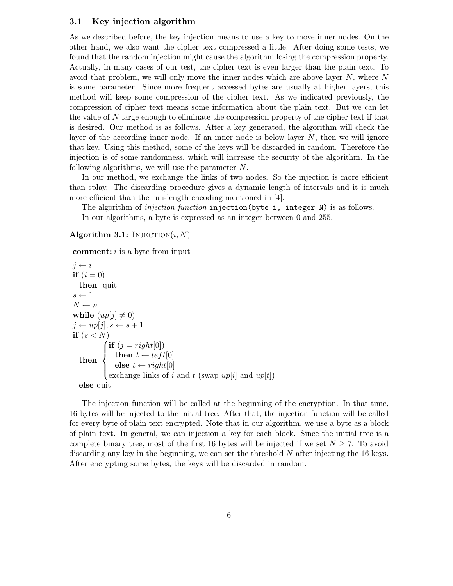#### 3.1 Key injection algorithm

As we described before, the key injection means to use a key to move inner nodes. On the other hand, we also want the cipher text compressed a little. After doing some tests, we found that the random injection might cause the algorithm losing the compression property. Actually, in many cases of our test, the cipher text is even larger than the plain text. To avoid that problem, we will only move the inner nodes which are above layer  $N$ , where  $N$ is some parameter. Since more frequent accessed bytes are usually at higher layers, this method will keep some compression of the cipher text. As we indicated previously, the compression of cipher text means some information about the plain text. But we can let the value of N large enough to eliminate the compression property of the cipher text if that is desired. Our method is as follows. After a key generated, the algorithm will check the layer of the according inner node. If an inner node is below layer  $N$ , then we will ignore that key. Using this method, some of the keys will be discarded in random. Therefore the injection is of some randomness, which will increase the security of the algorithm. In the following algorithms, we will use the parameter N.

In our method, we exchange the links of two nodes. So the injection is more efficient than splay. The discarding procedure gives a dynamic length of intervals and it is much more efficient than the run-length encoding mentioned in [4].

The algorithm of *injection function* injection(byte i, integer N) is as follows. In our algorithms, a byte is expressed as an integer between 0 and 255.

Algorithm 3.1: INJECTION $(i, N)$ 

**comment:**  $i$  is a byte from input

```
i \leftarrow iif (i = 0)then quit
s \leftarrow 1N \leftarrow nwhile (up[j] \neq 0)j \leftarrow up[j], s \leftarrow s + 1if (s < N)then \Big\{\int if (j = right[0])\overline{\mathcal{L}}then t \leftarrow left[0]else t \leftarrow right[0]exchange links of i and t (swap up[i] and up[t])
  else quit
```
The injection function will be called at the beginning of the encryption. In that time, 16 bytes will be injected to the initial tree. After that, the injection function will be called for every byte of plain text encrypted. Note that in our algorithm, we use a byte as a block of plain text. In general, we can injection a key for each block. Since the initial tree is a complete binary tree, most of the first 16 bytes will be injected if we set  $N \geq 7$ . To avoid discarding any key in the beginning, we can set the threshold N after injecting the 16 keys. After encrypting some bytes, the keys will be discarded in random.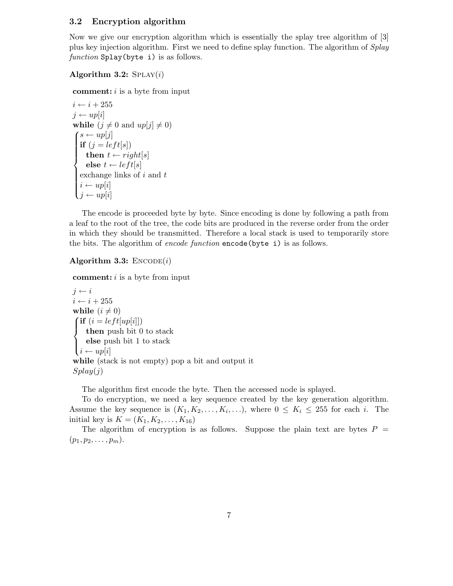#### 3.2 Encryption algorithm

Now we give our encryption algorithm which is essentially the splay tree algorithm of [3] plus key injection algorithm. First we need to define splay function. The algorithm of Splay function Splay(byte i) is as follows.

#### Algorithm 3.2:  $SPLAY(i)$

**comment:**  $i$  is a byte from input

```
i \leftarrow i + 255j \leftarrow up[i]while (j \neq 0 and up[j] \neq 0)\mathbf{S} \leftarrow up[j]if (j = left[s])<br>then t \leftarrow ri[s]\begin{array}{c} \end{array}then t \leftarrow right[s]else t \leftarrow left[s]exchange links of i and ti \leftarrow up[i]i \leftarrow up
```
The encode is proceeded byte by byte. Since encoding is done by following a path from a leaf to the root of the tree, the code bits are produced in the reverse order from the order in which they should be transmitted. Therefore a local stack is used to temporarily store the bits. The algorithm of encode function encode (byte i) is as follows.

### Algorithm 3.3:  $\text{ENCODE}(i)$

**comment:**  $i$  is a byte from input

```
i \leftarrow ii \leftarrow i + 255while (i \neq 0)\int if (i = left[up[i]])\inti \leftarrow up[i]then push bit 0 to stack
    else push bit 1 to stack
while (stack is not empty) pop a bit and output it
Splay(j)
```
The algorithm first encode the byte. Then the accessed node is splayed.

To do encryption, we need a key sequence created by the key generation algorithm. Assume the key sequence is  $(K_1, K_2, \ldots, K_i, \ldots)$ , where  $0 \leq K_i \leq 255$  for each i. The initial key is  $K = (K_1, K_2, \ldots, K_{16})$ 

The algorithm of encryption is as follows. Suppose the plain text are bytes  $P =$  $(p_1, p_2, \ldots, p_m).$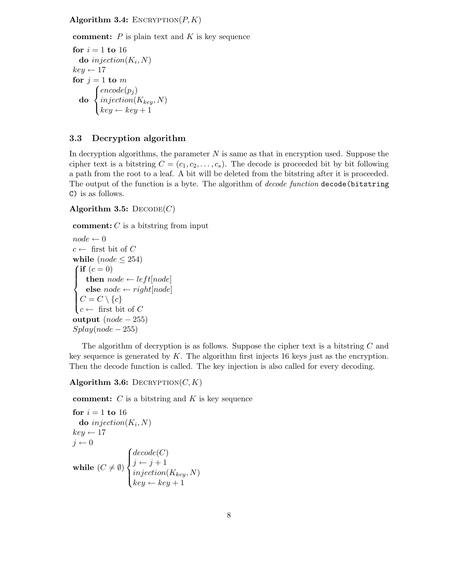Algorithm 3.4: ENCRYPTION $(P, K)$ 

**comment:**  $P$  is plain text and  $K$  is key sequence

```
for i = 1 to 16
   \mathbf{do}\ injection(K_i,N)key \leftarrow 17for j = 1 to m
   do
         \sqrt{ }\left\vert \right\vert\mathcal{L}encode(p_j)injection(K_{key}, N)key \leftarrow key + 1
```
## 3.3 Decryption algorithm

In decryption algorithms, the parameter  $N$  is same as that in encryption used. Suppose the cipher text is a bitstring  $C = (c_1, c_2, \ldots, c_s)$ . The decode is proceeded bit by bit following a path from the root to a leaf. A bit will be deleted from the bitstring after it is proceeded. The output of the function is a byte. The algorithm of *decode function* decode (bitstring C) is as follows.

Algorithm 3.5:  $DECODE(C)$ 

**comment:**  $C$  is a bitstring from input

```
node \leftarrow 0c \leftarrow first bit of C
while (node < 254)\int if (c=0)\int\overline{\mathcal{L}}then node \leftarrow left[node]else node \leftarrow right[node]C=C\setminus\{c\}c \leftarrow first bit of C
output (node - 255)Splay(node - 255)
```
The algorithm of decryption is as follows. Suppose the cipher text is a bitstring C and key sequence is generated by K. The algorithm first injects 16 keys just as the encryption. Then the decode function is called. The key injection is also called for every decoding.

### Algorithm 3.6: DECRYPTION $(C, K)$

**comment:**  $C$  is a bitstring and  $K$  is key sequence

```
for i = 1 to 16
   \mathbf{do}\,\, injection(K_i,N)key \leftarrow 17j \leftarrow 0while (C \neq \emptyset)\sqrt{ }\int\overline{\mathcal{L}}decode(C)j \leftarrow j + 1injection(K_{key}, N)key \leftarrow key + 1
```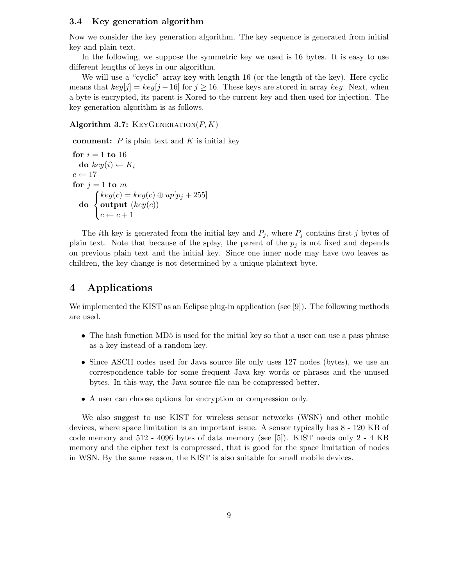#### 3.4 Key generation algorithm

Now we consider the key generation algorithm. The key sequence is generated from initial key and plain text.

In the following, we suppose the symmetric key we used is 16 bytes. It is easy to use different lengths of keys in our algorithm.

We will use a "cyclic" array key with length 16 (or the length of the key). Here cyclic means that  $key[j] = key[j-16]$  for  $j \ge 16$ . These keys are stored in array key. Next, when a byte is encrypted, its parent is Xored to the current key and then used for injection. The key generation algorithm is as follows.

Algorithm 3.7: KEYGENERATION $(P, K)$ 

comment:  $P$  is plain text and  $K$  is initial key

```
for i = 1 to 16
  do key(i) \leftarrow K_ic \leftarrow 17for j = 1 to m
  do
        \sqrt{ }\overline{I}\mathcal{L}key(c) = key(c) \oplus up[p_j + 255]output (key(c))c \leftarrow c + 1
```
The ith key is generated from the initial key and  $P_j$ , where  $P_j$  contains first j bytes of plain text. Note that because of the splay, the parent of the  $p_j$  is not fixed and depends on previous plain text and the initial key. Since one inner node may have two leaves as children, the key change is not determined by a unique plaintext byte.

# 4 Applications

We implemented the KIST as an Eclipse plug-in application (see [9]). The following methods are used.

- The hash function MD5 is used for the initial key so that a user can use a pass phrase as a key instead of a random key.
- Since ASCII codes used for Java source file only uses 127 nodes (bytes), we use an correspondence table for some frequent Java key words or phrases and the unused bytes. In this way, the Java source file can be compressed better.
- A user can choose options for encryption or compression only.

We also suggest to use KIST for wireless sensor networks (WSN) and other mobile devices, where space limitation is an important issue. A sensor typically has 8 - 120 KB of code memory and 512 - 4096 bytes of data memory (see [5]). KIST needs only 2 - 4 KB memory and the cipher text is compressed, that is good for the space limitation of nodes in WSN. By the same reason, the KIST is also suitable for small mobile devices.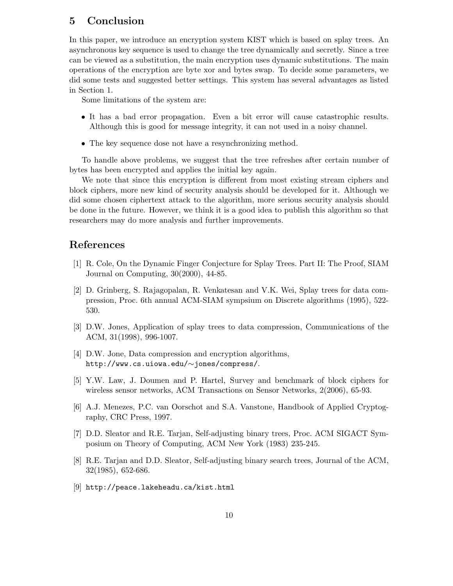# 5 Conclusion

In this paper, we introduce an encryption system KIST which is based on splay trees. An asynchronous key sequence is used to change the tree dynamically and secretly. Since a tree can be viewed as a substitution, the main encryption uses dynamic substitutions. The main operations of the encryption are byte xor and bytes swap. To decide some parameters, we did some tests and suggested better settings. This system has several advantages as listed in Section 1.

Some limitations of the system are:

- It has a bad error propagation. Even a bit error will cause catastrophic results. Although this is good for message integrity, it can not used in a noisy channel.
- The key sequence dose not have a resynchronizing method.

To handle above problems, we suggest that the tree refreshes after certain number of bytes has been encrypted and applies the initial key again.

We note that since this encryption is different from most existing stream ciphers and block ciphers, more new kind of security analysis should be developed for it. Although we did some chosen ciphertext attack to the algorithm, more serious security analysis should be done in the future. However, we think it is a good idea to publish this algorithm so that researchers may do more analysis and further improvements.

## References

- [1] R. Cole, On the Dynamic Finger Conjecture for Splay Trees. Part II: The Proof, SIAM Journal on Computing, 30(2000), 44-85.
- [2] D. Grinberg, S. Rajagopalan, R. Venkatesan and V.K. Wei, Splay trees for data compression, Proc. 6th annual ACM-SIAM sympsium on Discrete algorithms (1995), 522- 530.
- [3] D.W. Jones, Application of splay trees to data compression, Communications of the ACM, 31(1998), 996-1007.
- [4] D.W. Jone, Data compression and encryption algorithms, http://www.cs.uiowa.edu/∼jones/compress/.
- [5] Y.W. Law, J. Doumen and P. Hartel, Survey and benchmark of block ciphers for wireless sensor networks, ACM Transactions on Sensor Networks, 2(2006), 65-93.
- [6] A.J. Menezes, P.C. van Oorschot and S.A. Vanstone, Handbook of Applied Cryptography, CRC Press, 1997.
- [7] D.D. Sleator and R.E. Tarjan, Self-adjusting binary trees, Proc. ACM SIGACT Symposium on Theory of Computing, ACM New York (1983) 235-245.
- [8] R.E. Tarjan and D.D. Sleator, Self-adjusting binary search trees, Journal of the ACM, 32(1985), 652-686.
- [9] http://peace.lakeheadu.ca/kist.html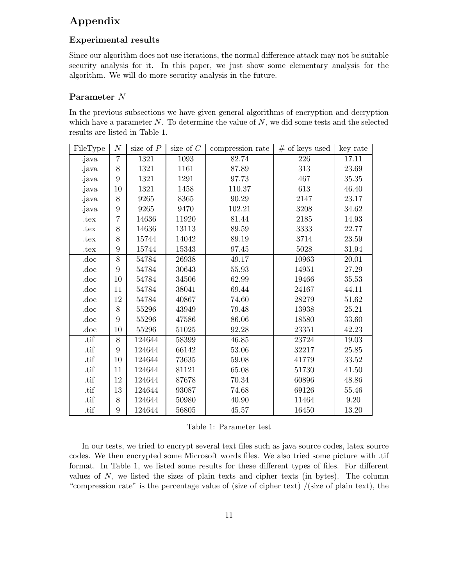# Appendix

## Experimental results

Since our algorithm does not use iterations, the normal difference attack may not be suitable security analysis for it. In this paper, we just show some elementary analysis for the algorithm. We will do more security analysis in the future.

### Parameter N

In the previous subsections we have given general algorithms of encryption and decryption which have a parameter  $N$ . To determine the value of  $N$ , we did some tests and the selected results are listed in Table 1.

| FileType        | $\cal N$       | size of $\overline{P}$ | size of $C$ | compression rate | $\#$ of keys used | key rate  |
|-----------------|----------------|------------------------|-------------|------------------|-------------------|-----------|
| .java           | 7              | 1321                   | 1093        | 82.74            | 226               | 17.11     |
| .java           | 8              | 1321                   | 1161        | 87.89            | 313               | 23.69     |
| .java           | 9              | 1321                   | 1291        | 97.73            | 467               | $35.35\,$ |
| .java           | 10             | 1321                   | 1458        | 110.37           | 613               | 46.40     |
| .java           | 8              | 9265                   | 8365        | 90.29            | 2147              | 23.17     |
| .java           | 9              | 9265                   | 9470        | 102.21           | 3208              | 34.62     |
| $.\mathrm{tex}$ | $\overline{7}$ | 14636                  | 11920       | 81.44            | 2185              | 14.93     |
| .tex            | 8              | 14636                  | 13113       | 89.59            | 3333              | 22.77     |
| .tex            | 8              | 15744                  | 14042       | 89.19            | 3714              | 23.59     |
| .tex            | 9              | 15744                  | 15343       | 97.45            | 5028              | 31.94     |
| .doc            | $\overline{8}$ | 54784                  | 26938       | 49.17            | 10963             | 20.01     |
| .doc            | 9              | 54784                  | 30643       | $55.93\,$        | 14951             | 27.29     |
| .doc            | 10             | 54784                  | 34506       | 62.99            | 19466             | 35.53     |
| .doc            | 11             | 54784                  | 38041       | 69.44            | 24167             | 44.11     |
| .doc            | 12             | 54784                  | 40867       | 74.60            | 28279             | 51.62     |
| .doc            | 8              | 55296                  | 43949       | 79.48            | 13938             | 25.21     |
| .doc            | 9              | 55296                  | 47586       | 86.06            | 18580             | 33.60     |
| .doc            | 10             | 55296                  | 51025       | $92.28\,$        | 23351             | 42.23     |
| .tif            | 8              | 124644                 | 58399       | 46.85            | 23724             | 19.03     |
| .tif            | 9              | 124644                 | 66142       | 53.06            | 32217             | 25.85     |
| .tif            | 10             | 124644                 | 73635       | 59.08            | 41779             | 33.52     |
| .tif            | 11             | 124644                 | 81121       | 65.08            | 51730             | 41.50     |
| .tif            | 12             | 124644                 | 87678       | 70.34            | 60896             | 48.86     |
| .tif            | 13             | 124644                 | 93087       | 74.68            | 69126             | 55.46     |
| .tif            | 8              | 124644                 | 50980       | 40.90            | 11464             | $9.20\,$  |
| .tif            | 9              | 124644                 | 56805       | 45.57            | 16450             | 13.20     |

In our tests, we tried to encrypt several text files such as java source codes, latex source codes. We then encrypted some Microsoft words files. We also tried some picture with .tif format. In Table 1, we listed some results for these different types of files. For different values of  $N$ , we listed the sizes of plain texts and cipher texts (in bytes). The column "compression rate" is the percentage value of (size of cipher text) /(size of plain text), the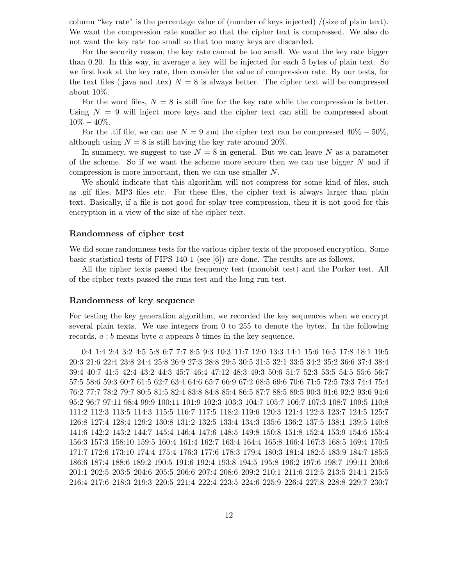column "key rate" is the percentage value of (number of keys injected) /(size of plain text). We want the compression rate smaller so that the cipher text is compressed. We also do not want the key rate too small so that too many keys are discarded.

For the security reason, the key rate cannot be too small. We want the key rate bigger than 0.20. In this way, in average a key will be injected for each 5 bytes of plain text. So we first look at the key rate, then consider the value of compression rate. By our tests, for the text files (.java and .tex)  $N = 8$  is always better. The cipher text will be compressed about 10%.

For the word files,  $N = 8$  is still fine for the key rate while the compression is better. Using  $N = 9$  will inject more keys and the cipher text can still be compressed about  $10\% - 40\%.$ 

For the .tif file, we can use  $N = 9$  and the cipher text can be compressed 40% – 50%, although using  $N = 8$  is still having the key rate around 20%.

In summery, we suggest to use  $N = 8$  in general. But we can leave N as a parameter of the scheme. So if we want the scheme more secure then we can use bigger  $N$  and if compression is more important, then we can use smaller N.

We should indicate that this algorithm will not compress for some kind of files, such as .gif files, MP3 files etc. For these files, the cipher text is always larger than plain text. Basically, if a file is not good for splay tree compression, then it is not good for this encryption in a view of the size of the cipher text.

#### Randomness of cipher test

We did some randomness tests for the various cipher texts of the proposed encryption. Some basic statistical tests of FIPS 140-1 (see [6]) are done. The results are as follows.

All the cipher texts passed the frequency test (monobit test) and the Porker test. All of the cipher texts passed the runs test and the long run test.

#### Randomness of key sequence

For testing the key generation algorithm, we recorded the key sequences when we encrypt several plain texts. We use integers from 0 to 255 to denote the bytes. In the following records, a : b means byte a appears b times in the key sequence.

0:4 1:4 2:4 3:2 4:5 5:8 6:7 7:7 8:5 9:3 10:3 11:7 12:0 13:3 14:1 15:6 16:5 17:8 18:1 19:5 20:3 21:6 22:4 23:8 24:4 25:8 26:9 27:3 28:8 29:5 30:5 31:5 32:1 33:5 34:2 35:2 36:6 37:4 38:4 39:4 40:7 41:5 42:4 43:2 44:3 45:7 46:4 47:12 48:3 49:3 50:6 51:7 52:3 53:5 54:5 55:6 56:7 57:5 58:6 59:3 60:7 61:5 62:7 63:4 64:6 65:7 66:9 67:2 68:5 69:6 70:6 71:5 72:5 73:3 74:4 75:4 76:2 77:7 78:2 79:7 80:5 81:5 82:4 83:8 84:8 85:4 86:5 87:7 88:5 89:5 90:3 91:6 92:2 93:6 94:6 95:2 96:7 97:11 98:4 99:9 100:11 101:9 102:3 103:3 104:7 105:7 106:7 107:3 108:7 109:5 110:8 111:2 112:3 113:5 114:3 115:5 116:7 117:5 118:2 119:6 120:3 121:4 122:3 123:7 124:5 125:7 126:8 127:4 128:4 129:2 130:8 131:2 132:5 133:4 134:3 135:6 136:2 137:5 138:1 139:5 140:8 141:6 142:2 143:2 144:7 145:4 146:4 147:6 148:5 149:8 150:8 151:8 152:4 153:9 154:6 155:4 156:3 157:3 158:10 159:5 160:4 161:4 162:7 163:4 164:4 165:8 166:4 167:3 168:5 169:4 170:5 171:7 172:6 173:10 174:4 175:4 176:3 177:6 178:3 179:4 180:3 181:4 182:5 183:9 184:7 185:5 186:6 187:4 188:6 189:2 190:5 191:6 192:4 193:8 194:5 195:8 196:2 197:6 198:7 199:11 200:6 201:1 202:5 203:5 204:6 205:5 206:6 207:4 208:6 209:2 210:1 211:6 212:5 213:5 214:1 215:5 216:4 217:6 218:3 219:3 220:5 221:4 222:4 223:5 224:6 225:9 226:4 227:8 228:8 229:7 230:7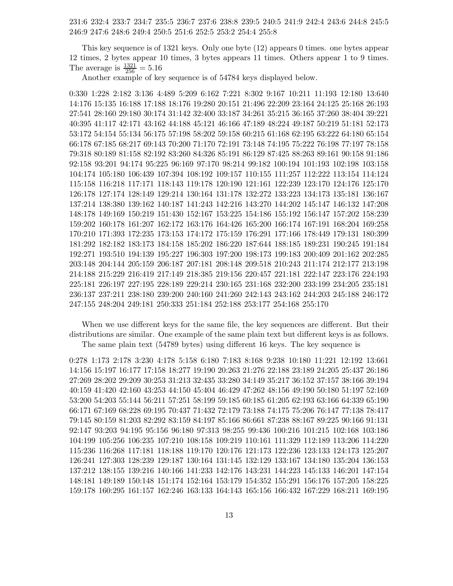231:6 232:4 233:7 234:7 235:5 236:7 237:6 238:8 239:5 240:5 241:9 242:4 243:6 244:8 245:5 246:9 247:6 248:6 249:4 250:5 251:6 252:5 253:2 254:4 255:8

This key sequence is of 1321 keys. Only one byte (12) appears 0 times. one bytes appear 12 times, 2 bytes appear 10 times, 3 bytes appears 11 times. Others appear 1 to 9 times. The average is  $\frac{1321}{256} = 5.16$ 

Another example of key sequence is of 54784 keys displayed below.

0:330 1:228 2:182 3:136 4:489 5:209 6:162 7:221 8:302 9:167 10:211 11:193 12:180 13:640 14:176 15:135 16:188 17:188 18:176 19:280 20:151 21:496 22:209 23:164 24:125 25:168 26:193 27:541 28:160 29:180 30:174 31:142 32:400 33:187 34:261 35:215 36:165 37:260 38:404 39:221 40:395 41:117 42:171 43:162 44:188 45:121 46:166 47:189 48:224 49:187 50:219 51:181 52:173 53:172 54:154 55:134 56:175 57:198 58:202 59:158 60:215 61:168 62:195 63:222 64:180 65:154 66:178 67:185 68:217 69:143 70:200 71:170 72:191 73:148 74:195 75:222 76:198 77:197 78:158 79:318 80:189 81:158 82:192 83:260 84:326 85:191 86:129 87:425 88:263 89:161 90:158 91:186 92:158 93:201 94:174 95:225 96:169 97:170 98:214 99:182 100:194 101:193 102:198 103:158 104:174 105:180 106:439 107:394 108:192 109:157 110:155 111:257 112:222 113:154 114:124 115:158 116:218 117:171 118:143 119:178 120:190 121:161 122:239 123:170 124:176 125:170 126:178 127:174 128:149 129:214 130:164 131:178 132:272 133:223 134:173 135:181 136:167 137:214 138:380 139:162 140:187 141:243 142:216 143:270 144:202 145:147 146:132 147:208 148:178 149:169 150:219 151:430 152:167 153:225 154:186 155:192 156:147 157:202 158:239 159:202 160:178 161:207 162:172 163:176 164:426 165:200 166:174 167:191 168:204 169:258 170:210 171:393 172:235 173:153 174:172 175:159 176:291 177:166 178:449 179:131 180:399 181:292 182:182 183:173 184:158 185:202 186:220 187:644 188:185 189:231 190:245 191:184 192:271 193:510 194:139 195:227 196:303 197:200 198:173 199:183 200:409 201:162 202:285 203:148 204:144 205:159 206:187 207:181 208:148 209:518 210:243 211:174 212:177 213:198 214:188 215:229 216:419 217:149 218:385 219:156 220:457 221:181 222:147 223:176 224:193 225:181 226:197 227:195 228:189 229:214 230:165 231:168 232:200 233:199 234:205 235:181 236:137 237:211 238:180 239:200 240:160 241:260 242:143 243:162 244:203 245:188 246:172 247:155 248:204 249:181 250:333 251:184 252:188 253:177 254:168 255:170

When we use different keys for the same file, the key sequences are different. But their distributions are similar. One example of the same plain text but different keys is as follows. The same plain text (54789 bytes) using different 16 keys. The key sequence is

0:278 1:173 2:178 3:230 4:178 5:158 6:180 7:183 8:168 9:238 10:180 11:221 12:192 13:661 14:156 15:197 16:177 17:158 18:277 19:190 20:263 21:276 22:188 23:189 24:205 25:437 26:186 27:269 28:202 29:209 30:253 31:213 32:435 33:280 34:149 35:217 36:152 37:157 38:166 39:194 40:159 41:420 42:160 43:253 44:150 45:404 46:429 47:262 48:156 49:190 50:180 51:197 52:169 53:200 54:203 55:144 56:211 57:251 58:199 59:185 60:185 61:205 62:193 63:166 64:339 65:190 66:171 67:169 68:228 69:195 70:437 71:432 72:179 73:188 74:175 75:206 76:147 77:138 78:417 79:145 80:159 81:203 82:292 83:159 84:197 85:166 86:661 87:238 88:167 89:225 90:166 91:131 92:147 93:203 94:195 95:156 96:180 97:313 98:255 99:436 100:216 101:215 102:168 103:186 104:199 105:256 106:235 107:210 108:158 109:219 110:161 111:329 112:189 113:206 114:220 115:236 116:268 117:181 118:188 119:170 120:176 121:173 122:236 123:133 124:173 125:207 126:241 127:303 128:239 129:187 130:164 131:145 132:129 133:167 134:180 135:204 136:153 137:212 138:155 139:216 140:166 141:233 142:176 143:231 144:223 145:133 146:201 147:154 148:181 149:189 150:148 151:174 152:164 153:179 154:352 155:291 156:176 157:205 158:225 159:178 160:295 161:157 162:246 163:133 164:143 165:156 166:432 167:229 168:211 169:195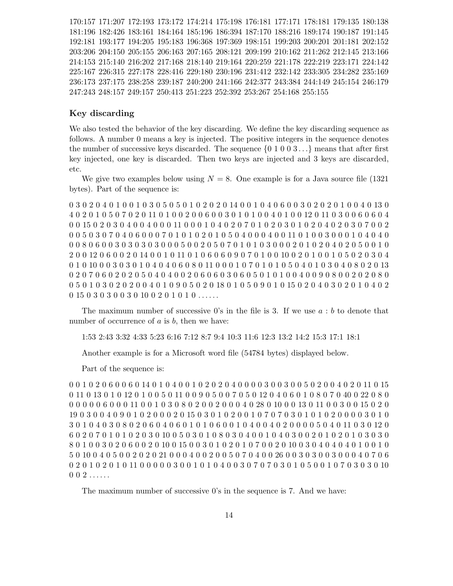170:157 171:207 172:193 173:172 174:214 175:198 176:181 177:171 178:181 179:135 180:138 181:196 182:426 183:161 184:164 185:196 186:394 187:170 188:216 189:174 190:187 191:145 192:181 193:177 194:205 195:183 196:368 197:369 198:151 199:203 200:201 201:181 202:152 203:206 204:150 205:155 206:163 207:165 208:121 209:199 210:162 211:262 212:145 213:166 214:153 215:140 216:202 217:168 218:140 219:164 220:259 221:178 222:219 223:171 224:142 225:167 226:315 227:178 228:416 229:180 230:196 231:412 232:142 233:305 234:282 235:169 236:173 237:175 238:258 239:187 240:200 241:166 242:377 243:384 244:149 245:154 246:179 247:243 248:157 249:157 250:413 251:223 252:392 253:267 254:168 255:155

### Key discarding

We also tested the behavior of the key discarding. We define the key discarding sequence as follows. A number 0 means a key is injected. The positive integers in the sequence denotes the number of successive keys discarded. The sequence  $\{0, 1, 0, 0, 3, \ldots\}$  means that after first key injected, one key is discarded. Then two keys are injected and 3 keys are discarded, etc.

We give two examples below using  $N = 8$ . One example is for a Java source file (1321) bytes). Part of the sequence is:

0 3 0 2 0 4 0 1 0 0 1 0 3 0 5 0 5 0 1 0 2 0 2 0 14 0 0 1 0 4 0 6 0 0 3 0 2 0 2 0 1 0 0 4 0 13 0 4 0 2 0 1 0 5 0 7 0 2 0 11 0 1 0 0 2 0 0 6 0 0 3 0 1 0 1 0 0 4 0 1 0 0 12 0 11 0 3 0 0 6 0 6 0 4 0 0 15 0 2 0 3 0 4 0 0 4 0 0 0 11 0 0 0 1 0 4 0 2 0 7 0 1 0 2 0 3 0 1 0 2 0 4 0 2 0 3 0 7 0 0 2 0 0 5 0 3 0 7 0 4 0 6 0 0 0 7 0 1 0 1 0 2 0 1 0 5 0 4 0 0 0 4 0 0 11 0 1 0 0 3 0 0 0 1 0 4 0 4 0 0 0 8 0 6 0 0 3 0 3 0 3 0 3 0 3 0 0 0 5 0 0 2 0 5 0 7 0 1 0 1 0 3 0 0 0 2 0 1 0 2 0 4 0 2 0 5 0 0 1 0 2 0 0 12 0 6 0 0 2 0 14 0 0 1 0 11 0 1 0 6 0 6 0 9 0 7 0 1 0 0 10 0 2 0 1 0 0 1 0 5 0 2 0 3 0 4 0 1 0 10 0 0 3 0 3 0 1 0 4 0 4 0 6 0 8 0 11 0 0 0 1 0 7 0 1 0 1 0 5 0 4 0 1 0 3 0 4 0 8 0 2 0 13 0 2 0 7 0 6 0 2 0 2 0 3 0 4 0 4 0 0 2 0 6 0 6 0 3 0 6 0 5 0 1 0 1 0 0 4 0 0 9 0 8 0 0 2 0 2 0 8 0 0 5 0 1 0 3 0 2 0 2 0 0 4 0 1 0 9 0 5 0 2 0 18 0 1 0 5 0 9 0 1 0 15 0 2 0 4 0 3 0 2 0 1 0 4 0 2 0 15 0 3 0 3 0 0 3 0 10 0 2 0 1 0 1 0 ......

The maximum number of successive 0's in the file is 3. If we use  $a:b$  to denote that number of occurrence of  $a$  is  $b$ , then we have:

1:53 2:43 3:32 4:33 5:23 6:16 7:12 8:7 9:4 10:3 11:6 12:3 13:2 14:2 15:3 17:1 18:1

Another example is for a Microsoft word file (54784 bytes) displayed below.

Part of the sequence is:

0 0 1 0 2 0 6 0 0 6 0 14 0 1 0 4 0 0 1 0 2 0 2 0 4 0 0 0 0 3 0 0 3 0 0 5 0 2 0 0 4 0 2 0 11 0 15 0 11 0 13 0 1 0 12 0 1 0 0 5 0 11 0 0 9 0 5 0 0 7 0 5 0 12 0 4 0 6 0 1 0 8 0 7 0 40 0 22 0 8 0 0 0 0 0 0 6 0 0 0 11 0 0 1 0 3 0 8 0 2 0 0 2 0 0 0 4 0 28 0 10 0 0 13 0 11 0 0 3 0 0 15 0 2 0 19 0 3 0 0 4 0 9 0 1 0 2 0 0 0 2 0 15 0 3 0 1 0 2 0 0 1 0 7 0 7 0 3 0 1 0 1 0 2 0 0 0 0 3 0 1 0 3 0 1 0 4 0 3 0 8 0 2 0 6 0 4 0 6 0 1 0 1 0 6 0 0 1 0 4 0 0 4 0 2 0 0 0 0 5 0 4 0 11 0 3 0 12 0 6 0 2 0 7 0 1 0 1 0 2 0 3 0 10 0 5 0 3 0 1 0 8 0 3 0 4 0 0 1 0 4 0 3 0 0 2 0 1 0 2 0 1 0 3 0 3 0 8 0 1 0 0 3 0 2 0 6 0 0 2 0 10 0 15 0 0 3 0 1 0 2 0 1 0 7 0 0 2 0 10 0 3 0 4 0 4 0 4 0 1 0 0 1 0 5 0 10 0 4 0 5 0 0 2 0 2 0 21 0 0 0 4 0 0 2 0 0 5 0 7 0 4 0 0 26 0 0 3 0 3 0 0 3 0 0 0 4 0 7 0 6 0 2 0 1 0 2 0 1 0 11 0 0 0 0 0 3 0 0 1 0 1 0 4 0 0 3 0 7 0 7 0 3 0 1 0 5 0 0 1 0 7 0 3 0 3 0 10  $0\;0\;2\;\ldots\ldots$ 

The maximum number of successive 0's in the sequence is 7. And we have: